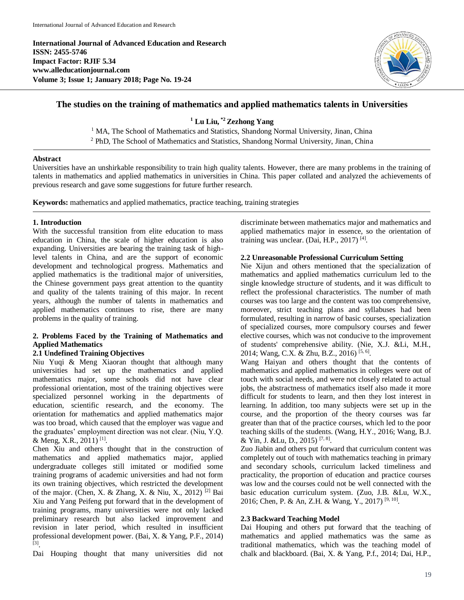**International Journal of Advanced Education and Research ISSN: 2455-5746 Impact Factor: RJIF 5.34 www.alleducationjournal.com Volume 3; Issue 1; January 2018; Page No. 19-24**



# **The studies on the training of mathematics and applied mathematics talents in Universities**

**<sup>1</sup> Lu Liu, \*2 Zezhong Yang**

<sup>1</sup> MA, The School of Mathematics and Statistics, Shandong Normal University, Jinan, China <sup>2</sup> PhD, The School of Mathematics and Statistics, Shandong Normal University, Jinan, China

#### **Abstract**

Universities have an unshirkable responsibility to train high quality talents. However, there are many problems in the training of talents in mathematics and applied mathematics in universities in China. This paper collated and analyzed the achievements of previous research and gave some suggestions for future further research.

**Keywords:** mathematics and applied mathematics, practice teaching, training strategies

#### **1. Introduction**

With the successful transition from elite education to mass education in China, the scale of higher education is also expanding. Universities are bearing the training task of highlevel talents in China, and are the support of economic development and technological progress. Mathematics and applied mathematics is the traditional major of universities, the Chinese government pays great attention to the quantity and quality of the talents training of this major. In recent years, although the number of talents in mathematics and applied mathematics continues to rise, there are many problems in the quality of training.

### **2. Problems Faced by the Training of Mathematics and Applied Mathematics**

#### **2.1 Undefined Training Objectives**

Niu Yuqi & Meng Xiaoran thought that although many universities had set up the mathematics and applied mathematics major, some schools did not have clear professional orientation, most of the training objectives were specialized personnel working in the departments of education, scientific research, and the economy. The orientation for mathematics and applied mathematics major was too broad, which caused that the employer was vague and the graduates' employment direction was not clear. (Niu, Y.Q. & Meng, X.R., 2011)<sup>[1]</sup>.

Chen Xiu and others thought that in the construction of mathematics and applied mathematics major, applied undergraduate colleges still imitated or modified some training programs of academic universities and had not form its own training objectives, which restricted the development of the major. (Chen, X. & Zhang, X. & Niu, X., 2012)<sup>[2]</sup> Bai Xiu and Yang Peifeng put forward that in the development of training programs, many universities were not only lacked preliminary research but also lacked improvement and revision in later period, which resulted in insufficient professional development power. (Bai, X. & Yang, P.F., 2014) [3] .

Dai Houping thought that many universities did not

discriminate between mathematics major and mathematics and applied mathematics major in essence, so the orientation of training was unclear. (Dai, H.P., 2017)<sup>[4]</sup>.

#### **2.2 Unreasonable Professional Curriculum Setting**

Nie Xijun and others mentioned that the specialization of mathematics and applied mathematics curriculum led to the single knowledge structure of students, and it was difficult to reflect the professional characteristics. The number of math courses was too large and the content was too comprehensive, moreover, strict teaching plans and syllabuses had been formulated, resulting in narrow of basic courses, specialization of specialized courses, more compulsory courses and fewer elective courses, which was not conducive to the improvement of students' comprehensive ability. (Nie, X.J. &Li, M.H., 2014; Wang, C.X. & Zhu, B.Z., 2016)<sup>[5, 6]</sup>.

Wang Haiyan and others thought that the contents of mathematics and applied mathematics in colleges were out of touch with social needs, and were not closely related to actual jobs, the abstractness of mathematics itself also made it more difficult for students to learn, and then they lost interest in learning. In addition, too many subjects were set up in the course, and the proportion of the theory courses was far greater than that of the practice courses, which led to the poor teaching skills of the students. (Wang, H.Y., 2016; Wang, B.J. & Yin, J. &Lu, D., 2015)<sup>[7, 8]</sup>.

Zuo Jiabin and others put forward that curriculum content was completely out of touch with mathematics teaching in primary and secondary schools, curriculum lacked timeliness and practicality, the proportion of education and practice courses was low and the courses could not be well connected with the basic education curriculum system. (Zuo, J.B. &Lu, W.X., 2016; Chen, P. & An, Z.H. & Wang, Y., 2017)<sup>[9, 10]</sup>.

#### **2.3 Backward Teaching Model**

Dai Houping and others put forward that the teaching of mathematics and applied mathematics was the same as traditional mathematics, which was the teaching model of chalk and blackboard. (Bai, X. & Yang, P.f., 2014; Dai, H.P.,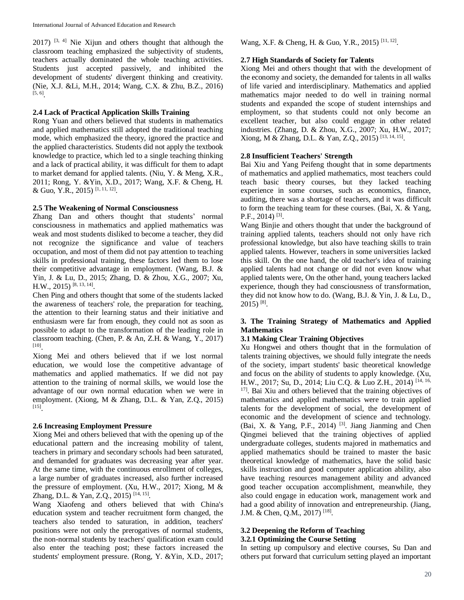$2017$ ) <sup>[3, 4]</sup> Nie Xijun and others thought that although the classroom teaching emphasized the subjectivity of students, teachers actually dominated the whole teaching activities. Students just accepted passively, and inhibited the development of students' divergent thinking and creativity. (Nie, X.J. &Li, M.H., 2014; Wang, C.X. & Zhu, B.Z., 2016) [5, 6] .

### **2.4 Lack of Practical Application Skills Training**

Rong Yuan and others believed that students in mathematics and applied mathematics still adopted the traditional teaching mode, which emphasized the theory, ignored the practice and the applied characteristics. Students did not apply the textbook knowledge to practice, which led to a single teaching thinking and a lack of practical ability, it was difficult for them to adapt to market demand for applied talents. (Niu, Y. & Meng, X.R., 2011; Rong, Y. &Yin, X.D., 2017; Wang, X.F. & Cheng, H. & Guo, Y.R., 2015)<sup>[1, 11, 12]</sup>.

#### **2.5 The Weakening of Normal Consciousness**

Zhang Dan and others thought that students' normal consciousness in mathematics and applied mathematics was weak and most students disliked to become a teacher, they did not recognize the significance and value of teachers occupation, and most of them did not pay attention to teaching skills in professional training, these factors led them to lose their competitive advantage in employment. (Wang, B.J. & Yin, J. & Lu, D., 2015; Zhang, D. & Zhou, X.G., 2007; Xu, H.W., 2015)<sup>[8, 13, 14]</sup>.

Chen Ping and others thought that some of the students lacked the awareness of teachers' role, the preparation for teaching, the attention to their learning status and their initiative and enthusiasm were far from enough, they could not as soon as possible to adapt to the transformation of the leading role in classroom teaching. (Chen, P. & An, Z.H. & Wang, Y., 2017) [10] .

Xiong Mei and others believed that if we lost normal education, we would lose the competitive advantage of mathematics and applied mathematics. If we did not pay attention to the training of normal skills, we would lose the advantage of our own normal education when we were in employment. (Xiong, M & Zhang, D.L. & Yan, Z.Q., 2015) [15] .

#### **2.6 Increasing Employment Pressure**

Xiong Mei and others believed that with the opening up of the educational pattern and the increasing mobility of talent, teachers in primary and secondary schools had been saturated, and demanded for graduates was decreasing year after year. At the same time, with the continuous enrollment of colleges, a large number of graduates increased, also further increased the pressure of employment. (Xu, H.W., 2017; Xiong, M & Zhang, D.L. & Yan, Z.Q., 2015)<sup>[14, 15]</sup>.

Wang Xiaofeng and others believed that with China's education system and teacher recruitment form changed, the teachers also tended to saturation, in addition, teachers' positions were not only the prerogatives of normal students, the non-normal students by teachers' qualification exam could also enter the teaching post; these factors increased the students' employment pressure. (Rong, Y. &Yin, X.D., 2017; Wang, X.F. & Cheng, H. & Guo, Y.R., 2015)<sup>[11, 12]</sup>.

#### **2.7 High Standards of Society for Talents**

Xiong Mei and others thought that with the development of the economy and society, the demanded for talents in all walks of life varied and interdisciplinary. Mathematics and applied mathematics major needed to do well in training normal students and expanded the scope of student internships and employment, so that students could not only become an excellent teacher, but also could engage in other related industries. (Zhang, D. & Zhou, X.G., 2007; Xu, H.W., 2017; Xiong, M & Zhang, D.L. & Yan, Z.Q., 2015)<sup>[13, 14, 15]</sup>.

#### **2.8 Insufficient Teachers' Strength**

Bai Xiu and Yang Peifeng thought that in some departments of mathematics and applied mathematics, most teachers could teach basic theory courses, but they lacked teaching experience in some courses, such as economics, finance, auditing, there was a shortage of teachers, and it was difficult to form the teaching team for these courses. (Bai, X. & Yang, P.F., 2014)<sup>[3]</sup>.

Wang Binjie and others thought that under the background of training applied talents, teachers should not only have rich professional knowledge, but also have teaching skills to train applied talents. However, teachers in some universities lacked this skill. On the one hand, the old teacher's idea of training applied talents had not change or did not even know what applied talents were, On the other hand, young teachers lacked experience, though they had consciousness of transformation, they did not know how to do. (Wang, B.J. & Yin, J. & Lu, D.,  $2015$ ) <sup>[8]</sup>.

### **3. The Training Strategy of Mathematics and Applied Mathematics**

#### **3.1 Making Clear Training Objectives**

Xu Hongwei and others thought that in the formulation of talents training objectives, we should fully integrate the needs of the society, impart students' basic theoretical knowledge and focus on the ability of students to apply knowledge. (Xu, H.W., 2017; Su, D., 2014; Liu C.Q. & Luo Z.H., 2014) [14, 16, <sup>17]</sup>. Bai Xiu and others believed that the training objectives of mathematics and applied mathematics were to train applied talents for the development of social, the development of economic and the development of science and technology. (Bai, X. & Yang, P.F., 2014)<sup>[3]</sup>. Jiang Jianming and Chen Qingmei believed that the training objectives of applied undergraduate colleges, students majored in mathematics and applied mathematics should be trained to master the basic theoretical knowledge of mathematics, have the solid basic skills instruction and good computer application ability, also have teaching resources management ability and advanced good teacher occupation accomplishment, meanwhile, they also could engage in education work, management work and had a good ability of innovation and entrepreneurship. (Jiang, J.M. & Chen, Q.M., 2017) [18] .

#### **3.2 Deepening the Reform of Teaching 3.2.1 Optimizing the Course Setting**

In setting up compulsory and elective courses, Su Dan and others put forward that curriculum setting played an important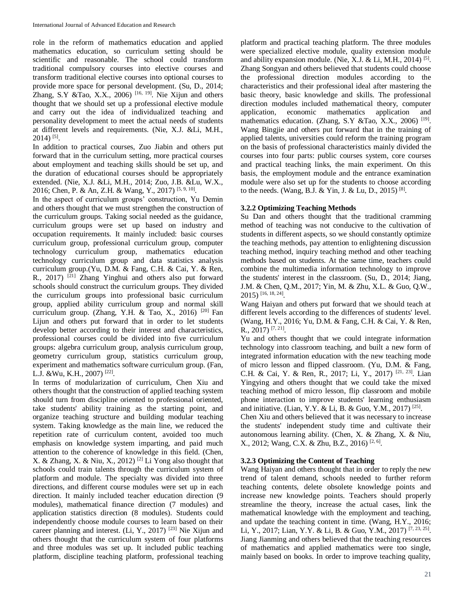role in the reform of mathematics education and applied mathematics education, so curriculum setting should be scientific and reasonable. The school could transform traditional compulsory courses into elective courses and transform traditional elective courses into optional courses to provide more space for personal development. (Su, D., 2014; Zhang, S.Y &Tao, X.X., 2006)<sup>[16, 19]</sup>. Nie Xijun and others thought that we should set up a professional elective module and carry out the idea of individualized teaching and personality development to meet the actual needs of students at different levels and requirements. (Nie, X.J. &Li, M.H., 2014) [5] .

In addition to practical courses, Zuo Jiabin and others put forward that in the curriculum setting, more practical courses about employment and teaching skills should be set up, and the duration of educational courses should be appropriately extended. (Nie, X.J. &Li, M.H., 2014; Zuo, J.B. &Lu, W.X., 2016; Chen, P. & An, Z.H. & Wang, Y., 2017)<sup>[5, 9, 10]</sup>.

In the aspect of curriculum groups' construction, Yu Demin and others thought that we must strengthen the construction of the curriculum groups. Taking social needed as the guidance, curriculum groups were set up based on industry and occupation requirements. It mainly included: basic courses curriculum group, professional curriculum group, computer technology curriculum group, mathematics education technology curriculum group and data statistics analysis curriculum group.(Yu, D.M. & Fang, C.H. & Cai, Y. & Ren, R., 2017)  $^{[21]}$  Zhang Yinghui and others also put forward schools should construct the curriculum groups. They divided the curriculum groups into professional basic curriculum group, applied ability curriculum group and normal skill curriculum group. (Zhang, Y.H. & Tao, X., 2016)<sup>[20]</sup> Fan Lijun and others put forward that in order to let students develop better according to their interest and characteristics, professional courses could be divided into five curriculum groups: algebra curriculum group, analysis curriculum group, geometry curriculum group, statistics curriculum group, experiment and mathematics software curriculum group. (Fan, L.J. &Wu, K.H., 2007)<sup>[22]</sup>.

In terms of modularization of curriculum, Chen Xiu and others thought that the construction of applied teaching system should turn from discipline oriented to professional oriented, take students' ability training as the starting point, and organize teaching structure and building modular teaching system. Taking knowledge as the main line, we reduced the repetition rate of curriculum content, avoided too much emphasis on knowledge system imparting, and paid much attention to the coherence of knowledge in this field. (Chen, X. & Zhang, X. & Niu, X., 2012)<sup>[2]</sup> Li Yong also thought that schools could train talents through the curriculum system of platform and module. The specialty was divided into three directions, and different course modules were set up in each direction. It mainly included teacher education direction (9 modules), mathematical finance direction (7 modules) and application statistics direction (8 modules). Students could independently choose module courses to learn based on their career planning and interest. (Li, Y., 2017)<sup>[23]</sup> Nie Xijun and others thought that the curriculum system of four platforms and three modules was set up. It included public teaching platform, discipline teaching platform, professional teaching

platform and practical teaching platform. The three modules were specialized elective module, quality extension module and ability expansion module. (Nie, X.J. & Li, M.H., 2014)<sup>[5]</sup>. Zhang Songyan and others believed that students could choose the professional direction modules according to the characteristics and their professional ideal after mastering the basic theory, basic knowledge and skills. The professional direction modules included mathematical theory, computer application, economic mathematics application and mathematics education. (Zhang, S.Y &Tao, X.X., 2006)<sup>[19]</sup>. Wang Bingjie and others put forward that in the training of applied talents, universities could reform the training program on the basis of professional characteristics mainly divided the courses into four parts: public courses system, core courses and practical teaching links, the main experiment. On this basis, the employment module and the entrance examination module were also set up for the students to choose according to the needs. (Wang, B.J. & Yin, J. & Lu, D., 2015)<sup>[8]</sup>.

## **3.2.2 Optimizing Teaching Methods**

Su Dan and others thought that the traditional cramming method of teaching was not conducive to the cultivation of students in different aspects, so we should constantly optimize the teaching methods, pay attention to enlightening discussion teaching method, inquiry teaching method and other teaching methods based on students. At the same time, teachers could combine the multimedia information technology to improve the students' interest in the classroom. (Su, D., 2014; Jiang, J.M. & Chen, Q.M., 2017; Yin, M. & Zhu, X.L. & Guo, Q.W., 2015) [16, 18, 24] .

Wang Haiyan and others put forward that we should teach at different levels according to the differences of students' level. (Wang, H.Y., 2016; Yu, D.M. & Fang, C.H. & Cai, Y. & Ren,  $R_{\cdot}$ , 2017)<sup>[7, 21]</sup>.

Yu and others thought that we could integrate information technology into classroom teaching, and built a new form of integrated information education with the new teaching mode of micro lesson and flipped classroom. (Yu, D.M. & Fang, C.H. & Cai, Y. & Ren, R., 2017; Li, Y., 2017)<sup>[21, 23]</sup>. Lian Yingying and others thought that we could take the mixed teaching method of micro lesson, flip classroom and mobile phone interaction to improve students' learning enthusiasm and initiative. (Lian, Y.Y. & Li, B. & Guo, Y.M., 2017)<sup>[25]</sup>.

Chen Xiu and others believed that it was necessary to increase the students' independent study time and cultivate their autonomous learning ability. (Chen, X. & Zhang, X. & Niu, X., 2012; Wang, C.X. & Zhu, B.Z., 2016)<sup>[2, 6]</sup>.

## **3.2.3 Optimizing the Content of Teaching**

Wang Haiyan and others thought that in order to reply the new trend of talent demand, schools needed to further reform teaching contents, delete obsolete knowledge points and increase new knowledge points. Teachers should properly streamline the theory, increase the actual cases, link the mathematical knowledge with the employment and teaching, and update the teaching content in time. (Wang, H.Y., 2016; Li, Y., 2017; Lian, Y.Y. & Li, B. & Guo, Y.M., 2017)<sup>[7, 23, 25]</sup>. Jiang Jianming and others believed that the teaching resources of mathematics and applied mathematics were too single, mainly based on books. In order to improve teaching quality,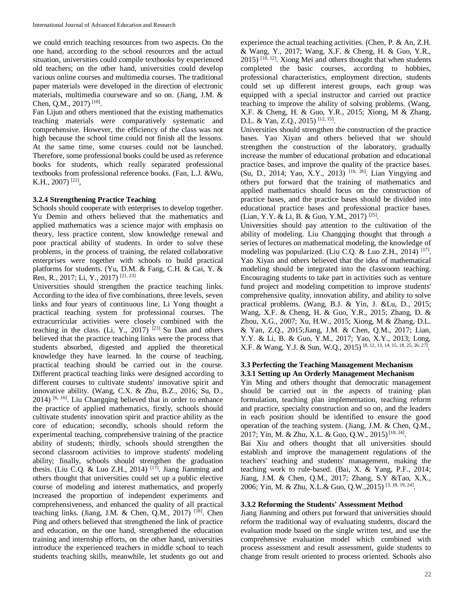we could enrich teaching resources from two aspects. On the one hand, according to the school resources and the actual situation, universities could compile textbooks by experienced old teachers; on the other hand, universities could develop various online courses and multimedia courses. The traditional paper materials were developed in the direction of electronic materials, multimedia courseware and so on. (Jiang, J.M. & Chen, Q.M., 2017)<sup>[18]</sup>.

Fan Lijun and others mentioned that the existing mathematics teaching materials were comparatively systematic and comprehensive. However, the efficiency of the class was not high because the school time could not finish all the lessons. At the same time, some courses could not be launched. Therefore, some professional books could be used as reference books for students, which really separated professional textbooks from professional reference books. (Fan, L.J. &Wu, K.H., 2007)<sup>[22]</sup>,

### **3.2.4 Strengthening Practice Teaching**

Schools should cooperate with enterprises to develop together. Yu Demin and others believed that the mathematics and applied mathematics was a science major with emphasis on theory, less practice content, slow knowledge renewal and poor practical ability of students. In order to solve these problems, in the process of training, the related collaborative enterprises were together with schools to build practical platforms for students. (Yu, D.M. & Fang, C.H. & Cai, Y. & Ren, R., 2017; Li, Y., 2017)<sup>[21, 23]</sup>.

Universities should strengthen the practice teaching links. According to the idea of five combinations, three levels, seven links and four years of continuous line, Li Yong thought a practical teaching system for professional courses. The extracurricular activities were closely combined with the teaching in the class. (Li, Y., 2017)  $^{[23]}$  Su Dan and others believed that the practice teaching links were the process that students absorbed, digested and applied the theoretical knowledge they have learned. In the course of teaching, practical teaching should be carried out in the course. Different practical teaching links were designed according to different courses to cultivate students' innovative spirit and innovative ability. (Wang, C.X. & Zhu, B.Z., 2016; Su, D., 2014) <sup>[6, 16]</sup>. Liu Changqing believed that in order to enhance the practice of applied mathematics, firstly, schools should cultivate students' innovation spirit and practice ability as the core of education; secondly, schools should reform the experimental teaching, comprehensive training of the practice ability of students; thirdly, schools should strengthen the second classroom activities to improve students' modeling ability; finally, schools should strengthen the graduation thesis. (Liu C.Q. & Luo Z.H., 2014)<sup>[17]</sup>. Jiang Jianming and others thought that universities could set up a public elective course of modeling and interest mathematics, and properly increased the proportion of independent experiments and comprehensiveness, and enhanced the quality of all practical teaching links. (Jiang, J.M. & Chen, Q.M., 2017)<sup>[18]</sup>. Chen Ping and others believed that strengthened the link of practice and education, on the one hand, strengthened the education training and internship efforts, on the other hand, universities introduce the experienced teachers in middle school to teach students teaching skills, meanwhile, let students go out and

experience the actual teaching activities. (Chen, P. & An, Z.H. & Wang, Y., 2017; Wang, X.F. & Cheng, H. & Guo, Y.R.,  $2015$ )  $^{[10, 12]}$ . Xiong Mei and others thought that when students completed the basic courses, according to hobbies, professional characteristics, employment direction, students could set up different interest groups, each group was equipped with a special instructor and carried out practice teaching to improve the ability of solving problems. (Wang, X.F. & Cheng, H. & Guo, Y.R., 2015; Xiong, M & Zhang, D.L. & Yan, Z.Q., 2015)<sup>[12, 15]</sup>.

Universities should strengthen the construction of the practice bases. Yao Xiyan and others believed that we should strengthen the construction of the laboratory, gradually increase the number of educational probation and educational practice bases, and improve the quality of the practice bases. (Su, D., 2014; Yao, X.Y., 2013) [16, 26] . Lian Yingying and others put forward that the training of mathematics and applied mathematics should focus on the construction of practice bases, and the practice bases should be divided into educational practice bases and professional practice bases. (Lian, Y.Y. & Li, B. & Guo, Y.M., 2017)<sup>[25]</sup>.

Universities should pay attention to the cultivation of the ability of modeling. Liu Changqing thought that through a series of lectures on mathematical modeling, the knowledge of modeling was popularized. (Liu C.Q. & Luo Z.H., 2014) [17]. Yao Xiyan and others believed that the idea of mathematical modeling should be integrated into the classroom teaching. Encouraging students to take part in activities such as venture fund project and modeling competition to improve students' comprehensive quality, innovation ability, and ability to solve practical problems. (Wang, B.J. & Yin, J. &Lu, D., 2015; Wang, X.F. & Cheng, H. & Guo, Y.R., 2015; Zhang, D. & Zhou, X.G., 2007; Xu, H.W., 2015; Xiong, M & Zhang, D.L. & Yan, Z.Q., 2015;Jiang, J.M. & Chen, Q.M., 2017; Lian, Y.Y. & Li, B. & Guo, Y.M., 2017; Yao, X.Y., 2013; Long, X.F. & Wang, Y.J. & Sun, W.Q., 2015) [8, 12, 13, 14, 15, 18, 25, 26, 27] .

## **3.3 Perfecting the Teaching Management Mechanism 3.3.1 Setting up An Orderly Management Mechanism**

Yin Ming and others thought that democratic management should be carried out in the aspects of training plan formulation, teaching plan implementation, teaching reform and practice, specialty construction and so on, and the leaders in each position should be identified to ensure the good operation of the teaching system. (Jiang, J.M. & Chen, Q.M., 2017; Yin, M. & Zhu, X.L. & Guo, Q.W., 2015)<sup>[18, 24]</sup>.

Bai Xiu and others thought that all universities should establish and improve the management regulations of the teachers' teaching and students' management, making the teaching work to rule-based. (Bai, X. & Yang, P.F., 2014; Jiang, J.M. & Chen, Q.M., 2017; Zhang, S.Y &Tao, X.X., 2006; Yin, M. & Zhu, X.L.& Guo, Q.W., 2015)<sup>[3, 18, 19, 24]</sup>.

## **3.3.2 Reforming the Students' Assessment Method**

Jiang Jianming and others put forward that universities should reform the traditional way of evaluating students, discard the evaluation mode based on the single written test, and use the comprehensive evaluation model which combined with process assessment and result assessment, guide students to change from result oriented to process oriented. Schools also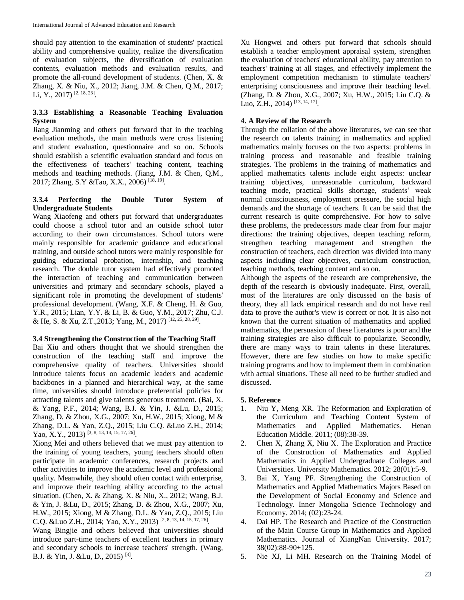should pay attention to the examination of students' practical ability and comprehensive quality, realize the diversification of evaluation subjects, the diversification of evaluation contents, evaluation methods and evaluation results, and promote the all-round development of students. (Chen, X. & Zhang, X. & Niu, X., 2012; Jiang, J.M. & Chen, Q.M., 2017; Li, Y., 2017)<sup>[2, 18, 23]</sup>.

## **3.3.3 Establishing a Reasonable Teaching Evaluation System**

Jiang Jianming and others put forward that in the teaching evaluation methods, the main methods were cross listening and student evaluation, questionnaire and so on. Schools should establish a scientific evaluation standard and focus on the effectiveness of teachers' teaching content, teaching methods and teaching methods. (Jiang, J.M. & Chen, Q.M., 2017; Zhang, S.Y &Tao, X.X., 2006)<sup>[18, 19]</sup>.

### **3.3.4 Perfecting the Double Tutor System of Undergraduate Students**

Wang Xiaofeng and others put forward that undergraduates could choose a school tutor and an outside school tutor according to their own circumstances. School tutors were mainly responsible for academic guidance and educational training, and outside school tutors were mainly responsible for guiding educational probation, internship, and teaching research. The double tutor system had effectively promoted the interaction of teaching and communication between universities and primary and secondary schools, played a significant role in promoting the development of students' professional development. (Wang, X.F. & Cheng, H. & Guo, Y.R., 2015; Lian, Y.Y. & Li, B. & Guo, Y.M., 2017; Zhu, C.J. & He, S. & Xu, Z.T., 2013; Yang, M., 2017)<sup>[12, 25, 28, 29]</sup>.

## **3.4 Strengthening the Construction of the Teaching Staff**

Bai Xiu and others thought that we should strengthen the construction of the teaching staff and improve the comprehensive quality of teachers. Universities should introduce talents focus on academic leaders and academic backbones in a planned and hierarchical way, at the same time, universities should introduce preferential policies for attracting talents and give talents generous treatment. (Bai, X. & Yang, P.F., 2014; Wang, B.J. & Yin, J. &Lu, D., 2015; Zhang, D. & Zhou, X.G., 2007; Xu, H.W., 2015; Xiong, M & Zhang, D.L. & Yan, Z.Q., 2015; Liu C.Q. &Luo Z.H., 2014; Yao, X.Y., 2013)<sup>[3, 8, 13, 14, 15, 17, 26]</sup>.

Xiong Mei and others believed that we must pay attention to the training of young teachers, young teachers should often participate in academic conferences, research projects and other activities to improve the academic level and professional quality. Meanwhile, they should often contact with enterprise, and improve their teaching ability according to the actual situation. (Chen, X. & Zhang, X. & Niu, X., 2012; Wang, B.J. & Yin, J. &Lu, D., 2015; Zhang, D. & Zhou, X.G., 2007; Xu, H.W., 2015; Xiong, M & Zhang, D.L. & Yan, Z.Q., 2015; Liu C.Q. &Luo Z.H., 2014; Yao, X.Y., 2013)<sup>[2, 8, 13, 14, 15, 17, 26]</sup>.

Wang Bingjie and others believed that universities should introduce part-time teachers of excellent teachers in primary and secondary schools to increase teachers' strength. (Wang, B.J. & Yin, J. &Lu, D., 2015)<sup>[8]</sup>.

Xu Hongwei and others put forward that schools should establish a teacher employment appraisal system, strengthen the evaluation of teachers' educational ability, pay attention to teachers' training at all stages, and effectively implement the employment competition mechanism to stimulate teachers' enterprising consciousness and improve their teaching level. (Zhang, D. & Zhou, X.G., 2007; Xu, H.W., 2015; Liu C.Q. & Luo, Z.H., 2014)<sup>[13, 14, 17]</sup>.

## **4. A Review of the Research**

Through the collation of the above literatures, we can see that the research on talents training in mathematics and applied mathematics mainly focuses on the two aspects: problems in training process and reasonable and feasible training strategies. The problems in the training of mathematics and applied mathematics talents include eight aspects: unclear training objectives, unreasonable curriculum, backward teaching mode, practical skills shortage, students' weak normal consciousness, employment pressure, the social high demands and the shortage of teachers. It can be said that the current research is quite comprehensive. For how to solve these problems, the predecessors made clear from four major directions: the training objectives, deepen teaching reform, strengthen teaching management and strengthen the construction of teachers, each direction was divided into many aspects including clear objectives, curriculum construction, teaching methods, teaching content and so on.

Although the aspects of the research are comprehensive, the depth of the research is obviously inadequate. First, overall, most of the literatures are only discussed on the basis of theory, they all lack empirical research and do not have real data to prove the author's view is correct or not. It is also not known that the current situation of mathematics and applied mathematics, the persuasion of these literatures is poor and the training strategies are also difficult to popularize. Secondly, there are many ways to train talents in these literatures. However, there are few studies on how to make specific training programs and how to implement them in combination with actual situations. These all need to be further studied and discussed.

## **5. Reference**

- 1. Niu Y, Meng XR. The Reformation and Exploration of the Curriculum and Teaching Content System of Mathematics and Applied Mathematics. Henan Education Middle. 2011; (08):38-39.
- 2. Chen X, Zhang X, Niu X. The Exploration and Practice of the Construction of Mathematics and Applied Mathematics in Applied Undergraduate Colleges and Universities. University Mathematics. 2012; 28(01):5-9.
- 3. Bai X, Yang PF. Strengthening the Construction of Mathematics and Applied Mathematics Majors Based on the Development of Social Economy and Science and Technology. Inner Mongolia Science Technology and Economy. 2014; (02):23-24.
- 4. Dai HP. The Research and Practice of the Construction of the Main Course Group in Mathematics and Applied Mathematics. Journal of XiangNan University. 2017; 38(02):88-90+125.
- 5. Nie XJ, Li MH. Research on the Training Model of